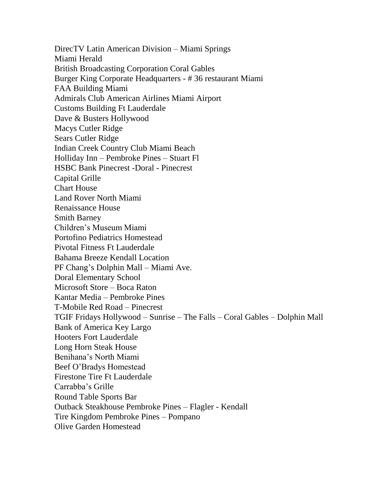DirecTV Latin American Division – Miami Springs Miami Herald British Broadcasting Corporation Coral Gables Burger King Corporate Headquarters - # 36 restaurant Miami FAA Building Miami Admirals Club American Airlines Miami Airport Customs Building Ft Lauderdale Dave & Busters Hollywood Macys Cutler Ridge Sears Cutler Ridge Indian Creek Country Club Miami Beach Holliday Inn – Pembroke Pines – Stuart Fl HSBC Bank Pinecrest -Doral - Pinecrest Capital Grille Chart House Land Rover North Miami Renaissance House Smith Barney Children's Museum Miami Portofino Pediatrics Homestead Pivotal Fitness Ft Lauderdale Bahama Breeze Kendall Location PF Chang's Dolphin Mall – Miami Ave. Doral Elementary School Microsoft Store – Boca Raton Kantar Media – Pembroke Pines T-Mobile Red Road – Pinecrest TGIF Fridays Hollywood – Sunrise – The Falls – Coral Gables – Dolphin Mall Bank of America Key Largo Hooters Fort Lauderdale Long Horn Steak House Benihana's North Miami Beef O'Bradys Homestead Firestone Tire Ft Lauderdale Carrabba's Grille Round Table Sports Bar Outback Steakhouse Pembroke Pines – Flagler - Kendall Tire Kingdom Pembroke Pines – Pompano Olive Garden Homestead